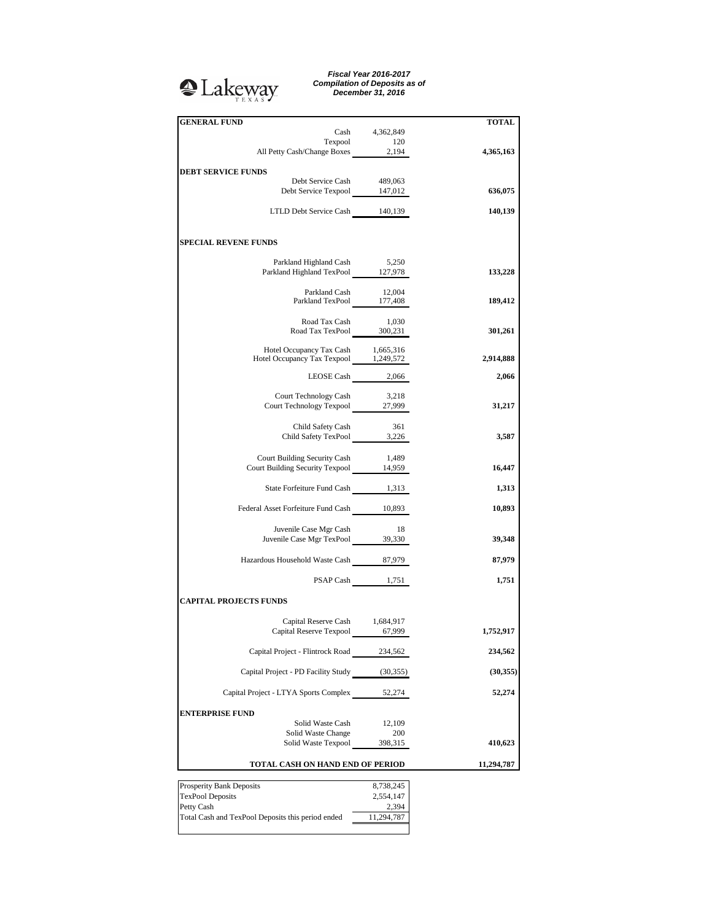## <sup>2</sup>Lakeway

*Fiscal Year 2016-2017 Compilation of Deposits as of December 31, 2016*

| <b>GENERAL FUND</b>                                                         | Cash 4,362,849      | <b>TOTAL</b> |
|-----------------------------------------------------------------------------|---------------------|--------------|
|                                                                             |                     |              |
| Texpool 120<br>All Petty Cash/Change Boxes 2,194                            |                     | 4,365,163    |
| <b>DEBT SERVICE FUNDS</b>                                                   |                     |              |
| Debt Service Cash<br>Debt Service Texpool 147,012                           | 489,063             | 636,075      |
|                                                                             |                     |              |
| LTLD Debt Service Cash 140,139                                              |                     | 140,139      |
| <b>SPECIAL REVENE FUNDS</b>                                                 |                     |              |
| Parkland Highland Cash 5,250                                                |                     |              |
| Parkland Highland TexPool 127,978                                           |                     | 133,228      |
| Parkland Cash 12,004<br>Parkland TexPool 177,408                            |                     | 189,412      |
|                                                                             |                     |              |
| Road Tax Cash<br>Road Tax Cash 1,030<br>Road Tax TexPool 300,231            | 1,030               | 301,261      |
|                                                                             |                     |              |
| Hotel Occupancy Tax Cash 1,665,316<br>Hotel Occupancy Tax Texpool 1,249,572 |                     | 2,914,888    |
| LEOSE Cash 2,066                                                            |                     | 2,066        |
| Court Technology Cash                                                       | 3,218               |              |
| Court Technology Texpool 27,999                                             |                     | 31,217       |
| Child Safety Cash                                                           | 361                 |              |
| Child Safety TexPool 3,226                                                  |                     | 3,587        |
| Court Building Security Cash                                                | 1,489               |              |
| Court Building Security Texpool 14,959                                      |                     | 16,447       |
| State Forfeiture Fund Cash 1,313                                            |                     | 1,313        |
| Federal Asset Forfeiture Fund Cash 10,893                                   |                     | 10,893       |
| Juvenile Case Mgr Cash                                                      | 18                  |              |
| Juvenile Case Mgr TexPool 39,330                                            |                     | 39,348       |
| Hazardous Household Waste Cash 87,979                                       |                     | 87,979       |
|                                                                             | PSAP Cash 1,751     | 1,751        |
| <b>CAPITAL PROJECTS FUNDS</b>                                               |                     |              |
| Capital Reserve Cash 1,684,917                                              |                     |              |
| Capital Reserve Texpool 67,999                                              |                     | 1,752,917    |
| Capital Project - Flintrock Road 234,562                                    |                     | 234,562      |
| Capital Project - PD Facility Study (30,355)                                |                     | (30, 355)    |
| Capital Project - LTYA Sports Complex 52,274                                |                     | 52,274       |
|                                                                             |                     |              |
| <b>ENTERPRISE FUND</b><br>Solid Waste Cash                                  | 12,109              |              |
| Solid Waste Change                                                          | 200                 |              |
| Solid Waste Texpool                                                         | 398,315             | 410,623      |
| TOTAL CASH ON HAND END OF PERIOD                                            |                     | 11,294,787   |
| Prosperity Bank Deposits                                                    | 8,738,245           |              |
| <b>TexPool Deposits</b>                                                     | 2,554,147           |              |
| Petty Cash<br>Total Cash and TexPool Deposits this period ended             | 2,394<br>11,294,787 |              |